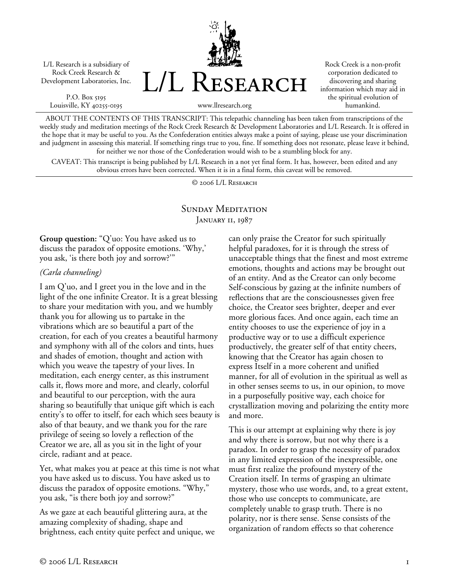L/L Research is a subsidiary of Rock Creek Research & Development Laboratories, Inc.

P.O. Box 5195 Louisville, KY 40255-0195 L/L Research

Rock Creek is a non-profit corporation dedicated to discovering and sharing information which may aid in the spiritual evolution of humankind.

www.llresearch.org

ABOUT THE CONTENTS OF THIS TRANSCRIPT: This telepathic channeling has been taken from transcriptions of the weekly study and meditation meetings of the Rock Creek Research & Development Laboratories and L/L Research. It is offered in the hope that it may be useful to you. As the Confederation entities always make a point of saying, please use your discrimination and judgment in assessing this material. If something rings true to you, fine. If something does not resonate, please leave it behind, for neither we nor those of the Confederation would wish to be a stumbling block for any.

CAVEAT: This transcript is being published by L/L Research in a not yet final form. It has, however, been edited and any obvious errors have been corrected. When it is in a final form, this caveat will be removed.

© 2006 L/L Research

# SUNDAY MEDITATION JANUARY 11, 1987

**Group question:** "Q'uo: You have asked us to discuss the paradox of opposite emotions. 'Why,' you ask, 'is there both joy and sorrow?'"

#### *(Carla channeling)*

I am Q'uo, and I greet you in the love and in the light of the one infinite Creator. It is a great blessing to share your meditation with you, and we humbly thank you for allowing us to partake in the vibrations which are so beautiful a part of the creation, for each of you creates a beautiful harmony and symphony with all of the colors and tints, hues and shades of emotion, thought and action with which you weave the tapestry of your lives. In meditation, each energy center, as this instrument calls it, flows more and more, and clearly, colorful and beautiful to our perception, with the aura sharing so beautifully that unique gift which is each entity's to offer to itself, for each which sees beauty is also of that beauty, and we thank you for the rare privilege of seeing so lovely a reflection of the Creator we are, all as you sit in the light of your circle, radiant and at peace.

Yet, what makes you at peace at this time is not what you have asked us to discuss. You have asked us to discuss the paradox of opposite emotions. "Why," you ask, "is there both joy and sorrow?"

As we gaze at each beautiful glittering aura, at the amazing complexity of shading, shape and brightness, each entity quite perfect and unique, we can only praise the Creator for such spiritually helpful paradoxes, for it is through the stress of unacceptable things that the finest and most extreme emotions, thoughts and actions may be brought out of an entity. And as the Creator can only become Self-conscious by gazing at the infinite numbers of reflections that are the consciousnesses given free choice, the Creator sees brighter, deeper and ever more glorious faces. And once again, each time an entity chooses to use the experience of joy in a productive way or to use a difficult experience productively, the greater self of that entity cheers, knowing that the Creator has again chosen to express Itself in a more coherent and unified manner, for all of evolution in the spiritual as well as in other senses seems to us, in our opinion, to move in a purposefully positive way, each choice for crystallization moving and polarizing the entity more and more.

This is our attempt at explaining why there is joy and why there is sorrow, but not why there is a paradox. In order to grasp the necessity of paradox in any limited expression of the inexpressible, one must first realize the profound mystery of the Creation itself. In terms of grasping an ultimate mystery, those who use words, and, to a great extent, those who use concepts to communicate, are completely unable to grasp truth. There is no polarity, nor is there sense. Sense consists of the organization of random effects so that coherence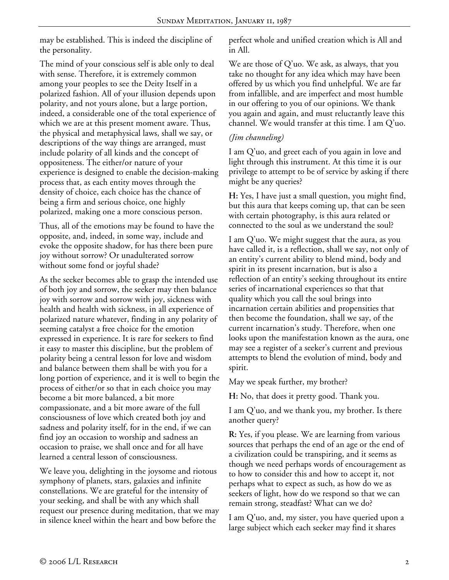may be established. This is indeed the discipline of the personality.

The mind of your conscious self is able only to deal with sense. Therefore, it is extremely common among your peoples to see the Deity Itself in a polarized fashion. All of your illusion depends upon polarity, and not yours alone, but a large portion, indeed, a considerable one of the total experience of which we are at this present moment aware. Thus, the physical and metaphysical laws, shall we say, or descriptions of the way things are arranged, must include polarity of all kinds and the concept of oppositeness. The either/or nature of your experience is designed to enable the decision-making process that, as each entity moves through the density of choice, each choice has the chance of being a firm and serious choice, one highly polarized, making one a more conscious person.

Thus, all of the emotions may be found to have the opposite, and, indeed, in some way, include and evoke the opposite shadow, for has there been pure joy without sorrow? Or unadulterated sorrow without some fond or joyful shade?

As the seeker becomes able to grasp the intended use of both joy and sorrow, the seeker may then balance joy with sorrow and sorrow with joy, sickness with health and health with sickness, in all experience of polarized nature whatever, finding in any polarity of seeming catalyst a free choice for the emotion expressed in experience. It is rare for seekers to find it easy to master this discipline, but the problem of polarity being a central lesson for love and wisdom and balance between them shall be with you for a long portion of experience, and it is well to begin the process of either/or so that in each choice you may become a bit more balanced, a bit more compassionate, and a bit more aware of the full consciousness of love which created both joy and sadness and polarity itself, for in the end, if we can find joy an occasion to worship and sadness an occasion to praise, we shall once and for all have learned a central lesson of consciousness.

We leave you, delighting in the joysome and riotous symphony of planets, stars, galaxies and infinite constellations. We are grateful for the intensity of your seeking, and shall be with any which shall request our presence during meditation, that we may in silence kneel within the heart and bow before the

perfect whole and unified creation which is All and in All.

We are those of Q'uo. We ask, as always, that you take no thought for any idea which may have been offered by us which you find unhelpful. We are far from infallible, and are imperfect and most humble in our offering to you of our opinions. We thank you again and again, and must reluctantly leave this channel. We would transfer at this time. I am Q'uo.

# *(Jim channeling)*

I am Q'uo, and greet each of you again in love and light through this instrument. At this time it is our privilege to attempt to be of service by asking if there might be any queries?

**H:** Yes, I have just a small question, you might find, but this aura that keeps coming up, that can be seen with certain photography, is this aura related or connected to the soul as we understand the soul?

I am Q'uo. We might suggest that the aura, as you have called it, is a reflection, shall we say, not only of an entity's current ability to blend mind, body and spirit in its present incarnation, but is also a reflection of an entity's seeking throughout its entire series of incarnational experiences so that that quality which you call the soul brings into incarnation certain abilities and propensities that then become the foundation, shall we say, of the current incarnation's study. Therefore, when one looks upon the manifestation known as the aura, one may see a register of a seeker's current and previous attempts to blend the evolution of mind, body and spirit.

May we speak further, my brother?

**H:** No, that does it pretty good. Thank you.

I am Q'uo, and we thank you, my brother. Is there another query?

**R:** Yes, if you please. We are learning from various sources that perhaps the end of an age or the end of a civilization could be transpiring, and it seems as though we need perhaps words of encouragement as to how to consider this and how to accept it, not perhaps what to expect as such, as how do we as seekers of light, how do we respond so that we can remain strong, steadfast? What can we do?

I am Q'uo, and, my sister, you have queried upon a large subject which each seeker may find it shares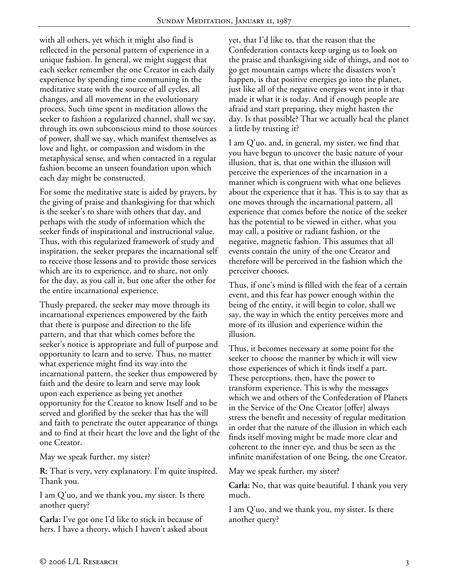with all others, yet which it might also find is reflected in the personal pattern of experience in a unique fashion. In general, we might suggest that each seeker remember the one Creator in each daily experience by spending time communing in the meditative state with the source of all cycles, all changes, and all movement in the evolutionary process. Such time spent in meditation allows the seeker to fashion a regularized channel, shall we say, through its own subconscious mind to those sources of power, shall we say, which manifest themselves as love and light, or compassion and wisdom in the metaphysical sense, and when contacted in a regular fashion become an unseen foundation upon which each day might be constructed.

For some the meditative state is aided by prayers, by the giving of praise and thanksgiving for that which is the seeker's to share with others that day, and perhaps with the study of information which the seeker finds of inspirational and instructional value. Thus, with this regularized framework of study and inspiration, the seeker prepares the incarnational self to receive those lessons and to provide those services which are its to experience, and to share, not only for the day, as you call it, but one after the other for the entire incarnational experience.

Thusly prepared, the seeker may move through its incarnational experiences empowered by the faith that there is purpose and direction to the life pattern, and that that which comes before the seeker's notice is appropriate and full of purpose and opportunity to learn and to serve. Thus, no matter what experience might find its way into the incarnational pattern, the seeker thus empowered by faith and the desire to learn and serve may look upon each experience as being yet another opportunity for the Creator to know Itself and to be served and glorified by the seeker that has the will and faith to penetrate the outer appearance of things and to find at their heart the love and the light of the one Creator.

May we speak further, my sister?

**R:** That is very, very explanatory. I'm quite inspired. Thank you.

I am Q'uo, and we thank you, my sister. Is there another query?

**Carla:** I've got one I'd like to stick in because of hers. I have a theory, which I haven't asked about yet, that I'd like to, that the reason that the Confederation contacts keep urging us to look on the praise and thanksgiving side of things, and not to go get mountain camps where the disasters won't happen, is that positive energies go into the planet, just like all of the negative energies went into it that made it what it is today. And if enough people are afraid and start preparing, they might hasten the day. Is that possible? That we actually heal the planet a little by trusting it?

I am Q'uo, and, in general, my sister, we find that you have begun to uncover the basic nature of your illusion, that is, that one within the illusion will perceive the experiences of the incarnation in a manner which is congruent with what one believes about the experience that it has. This is to say that as one moves through the incarnational pattern, all experience that comes before the notice of the seeker has the potential to be viewed in either, what you may call, a positive or radiant fashion, or the negative, magnetic fashion. This assumes that all events contain the unity of the one Creator and therefore will be perceived in the fashion which the perceiver chooses.

Thus, if one's mind is filled with the fear of a certain event, and this fear has power enough within the being of the entity, it will begin to color, shall we say, the way in which the entity perceives more and more of its illusion and experience within the illusion.

Thus, it becomes necessary at some point for the seeker to choose the manner by which it will view those experiences of which it finds itself a part. These perceptions, then, have the power to transform experience. This is why the messages which we and others of the Confederation of Planets in the Service of the One Creator [offer] always stress the benefit and necessity of regular meditation in order that the nature of the illusion in which each finds itself moving might be made more clear and coherent to the inner eye, and thus be seen as the infinite manifestation of one Being, the one Creator.

May we speak further, my sister?

**Carla:** No, that was quite beautiful. I thank you very much.

I am Q'uo, and we thank you, my sister. Is there another query?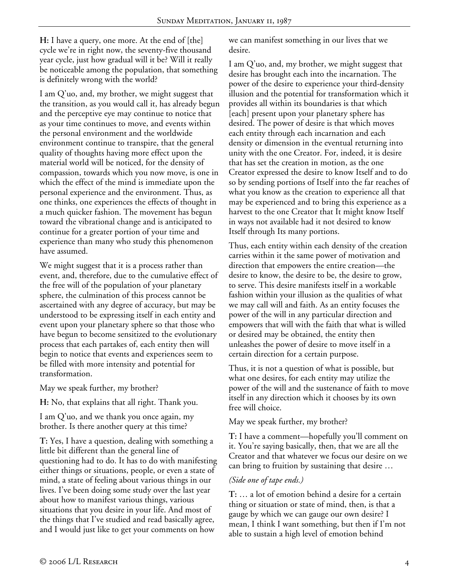**H:** I have a query, one more. At the end of [the] cycle we're in right now, the seventy-five thousand year cycle, just how gradual will it be? Will it really be noticeable among the population, that something is definitely wrong with the world?

I am Q'uo, and, my brother, we might suggest that the transition, as you would call it, has already begun and the perceptive eye may continue to notice that as your time continues to move, and events within the personal environment and the worldwide environment continue to transpire, that the general quality of thoughts having more effect upon the material world will be noticed, for the density of compassion, towards which you now move, is one in which the effect of the mind is immediate upon the personal experience and the environment. Thus, as one thinks, one experiences the effects of thought in a much quicker fashion. The movement has begun toward the vibrational change and is anticipated to continue for a greater portion of your time and experience than many who study this phenomenon have assumed.

We might suggest that it is a process rather than event, and, therefore, due to the cumulative effect of the free will of the population of your planetary sphere, the culmination of this process cannot be ascertained with any degree of accuracy, but may be understood to be expressing itself in each entity and event upon your planetary sphere so that those who have begun to become sensitized to the evolutionary process that each partakes of, each entity then will begin to notice that events and experiences seem to be filled with more intensity and potential for transformation.

May we speak further, my brother?

**H:** No, that explains that all right. Thank you.

I am Q'uo, and we thank you once again, my brother. Is there another query at this time?

**T:** Yes, I have a question, dealing with something a little bit different than the general line of questioning had to do. It has to do with manifesting either things or situations, people, or even a state of mind, a state of feeling about various things in our lives. I've been doing some study over the last year about how to manifest various things, various situations that you desire in your life. And most of the things that I've studied and read basically agree, and I would just like to get your comments on how

we can manifest something in our lives that we desire.

I am Q'uo, and, my brother, we might suggest that desire has brought each into the incarnation. The power of the desire to experience your third-density illusion and the potential for transformation which it provides all within its boundaries is that which [each] present upon your planetary sphere has desired. The power of desire is that which moves each entity through each incarnation and each density or dimension in the eventual returning into unity with the one Creator. For, indeed, it is desire that has set the creation in motion, as the one Creator expressed the desire to know Itself and to do so by sending portions of Itself into the far reaches of what you know as the creation to experience all that may be experienced and to bring this experience as a harvest to the one Creator that It might know Itself in ways not available had it not desired to know Itself through Its many portions.

Thus, each entity within each density of the creation carries within it the same power of motivation and direction that empowers the entire creation—the desire to know, the desire to be, the desire to grow, to serve. This desire manifests itself in a workable fashion within your illusion as the qualities of what we may call will and faith. As an entity focuses the power of the will in any particular direction and empowers that will with the faith that what is willed or desired may be obtained, the entity then unleashes the power of desire to move itself in a certain direction for a certain purpose.

Thus, it is not a question of what is possible, but what one desires, for each entity may utilize the power of the will and the sustenance of faith to move itself in any direction which it chooses by its own free will choice.

May we speak further, my brother?

**T:** I have a comment—hopefully you'll comment on it. You're saying basically, then, that we are all the Creator and that whatever we focus our desire on we can bring to fruition by sustaining that desire …

### *(Side one of tape ends.)*

**T:** … a lot of emotion behind a desire for a certain thing or situation or state of mind, then, is that a gauge by which we can gauge our own desire? I mean, I think I want something, but then if I'm not able to sustain a high level of emotion behind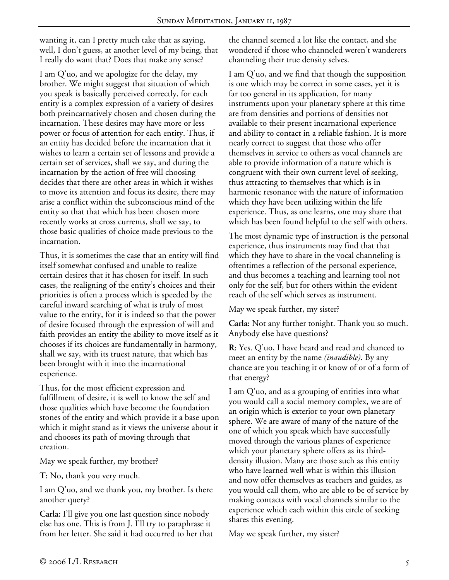wanting it, can I pretty much take that as saying, well, I don't guess, at another level of my being, that I really do want that? Does that make any sense?

I am Q'uo, and we apologize for the delay, my brother. We might suggest that situation of which you speak is basically perceived correctly, for each entity is a complex expression of a variety of desires both preincarnatively chosen and chosen during the incarnation. These desires may have more or less power or focus of attention for each entity. Thus, if an entity has decided before the incarnation that it wishes to learn a certain set of lessons and provide a certain set of services, shall we say, and during the incarnation by the action of free will choosing decides that there are other areas in which it wishes to move its attention and focus its desire, there may arise a conflict within the subconscious mind of the entity so that that which has been chosen more recently works at cross currents, shall we say, to those basic qualities of choice made previous to the incarnation.

Thus, it is sometimes the case that an entity will find itself somewhat confused and unable to realize certain desires that it has chosen for itself. In such cases, the realigning of the entity's choices and their priorities is often a process which is speeded by the careful inward searching of what is truly of most value to the entity, for it is indeed so that the power of desire focused through the expression of will and faith provides an entity the ability to move itself as it chooses if its choices are fundamentally in harmony, shall we say, with its truest nature, that which has been brought with it into the incarnational experience.

Thus, for the most efficient expression and fulfillment of desire, it is well to know the self and those qualities which have become the foundation stones of the entity and which provide it a base upon which it might stand as it views the universe about it and chooses its path of moving through that creation.

May we speak further, my brother?

**T:** No, thank you very much.

I am Q'uo, and we thank you, my brother. Is there another query?

**Carla:** I'll give you one last question since nobody else has one. This is from J. I'll try to paraphrase it from her letter. She said it had occurred to her that the channel seemed a lot like the contact, and she wondered if those who channeled weren't wanderers channeling their true density selves.

I am Q'uo, and we find that though the supposition is one which may be correct in some cases, yet it is far too general in its application, for many instruments upon your planetary sphere at this time are from densities and portions of densities not available to their present incarnational experience and ability to contact in a reliable fashion. It is more nearly correct to suggest that those who offer themselves in service to others as vocal channels are able to provide information of a nature which is congruent with their own current level of seeking, thus attracting to themselves that which is in harmonic resonance with the nature of information which they have been utilizing within the life experience. Thus, as one learns, one may share that which has been found helpful to the self with others.

The most dynamic type of instruction is the personal experience, thus instruments may find that that which they have to share in the vocal channeling is oftentimes a reflection of the personal experience, and thus becomes a teaching and learning tool not only for the self, but for others within the evident reach of the self which serves as instrument.

May we speak further, my sister?

**Carla:** Not any further tonight. Thank you so much. Anybody else have questions?

**R:** Yes. Q'uo, I have heard and read and chanced to meet an entity by the name *(inaudible)*. By any chance are you teaching it or know of or of a form of that energy?

I am Q'uo, and as a grouping of entities into what you would call a social memory complex, we are of an origin which is exterior to your own planetary sphere. We are aware of many of the nature of the one of which you speak which have successfully moved through the various planes of experience which your planetary sphere offers as its thirddensity illusion. Many are those such as this entity who have learned well what is within this illusion and now offer themselves as teachers and guides, as you would call them, who are able to be of service by making contacts with vocal channels similar to the experience which each within this circle of seeking shares this evening.

May we speak further, my sister?